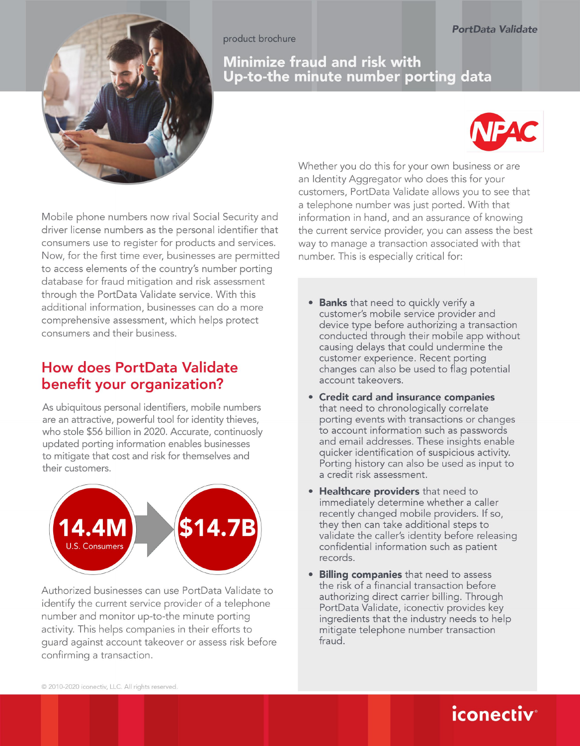product brochure



#### Minimize fraud and risk with Up-to-the minute number porting data



Mobile phone numbers now rival Social Security and driver license numbers as the personal identifier that consumers use to register for products and services. Now, for the first time ever, businesses are permitted to access elements of the country's number porting database for fraud mitigation and risk assessment through the PortData Validate service. With this additional information, businesses can do a more comprehensive assessment, which helps protect consumers and their business.

## **How does PortData Validate** benefit your organization?

As ubiquitous personal identifiers, mobile numbers are an attractive, powerful tool for identity thieves, who stole \$56 billion in 2020. Accurate, continuosly updated porting information enables businesses to mitigate that cost and risk for themselves and their customers.



Authorized businesses can use PortData Validate to identify the current service provider of a telephone number and monitor up-to-the minute porting activity. This helps companies in their efforts to guard against account takeover or assess risk before confirming a transaction.

Whether you do this for your own business or are an Identity Aggregator who does this for your customers, PortData Validate allows you to see that a telephone number was just ported. With that information in hand, and an assurance of knowing the current service provider, you can assess the best way to manage a transaction associated with that number. This is especially critical for:

- Banks that need to quickly verify a customer's mobile service provider and device type before authorizing a transaction conducted through their mobile app without causing delays that could undermine the customer experience. Recent porting changes can also be used to flag potential account takeovers.
- Credit card and insurance companies that need to chronologically correlate porting events with transactions or changes to account information such as passwords and email addresses. These insights enable quicker identification of suspicious activity. Porting history can also be used as input to a credit risk assessment.
- Healthcare providers that need to immediately determine whether a caller recently changed mobile providers. If so, they then can take additional steps to validate the caller's identity before releasing confidential information such as patient records.
- Billing companies that need to assess the risk of a financial transaction before authorizing direct carrier billing. Through PortData Validate, iconectiv provides key ingredients that the industry needs to help mitigate telephone number transaction fraud.

*iconectiv*